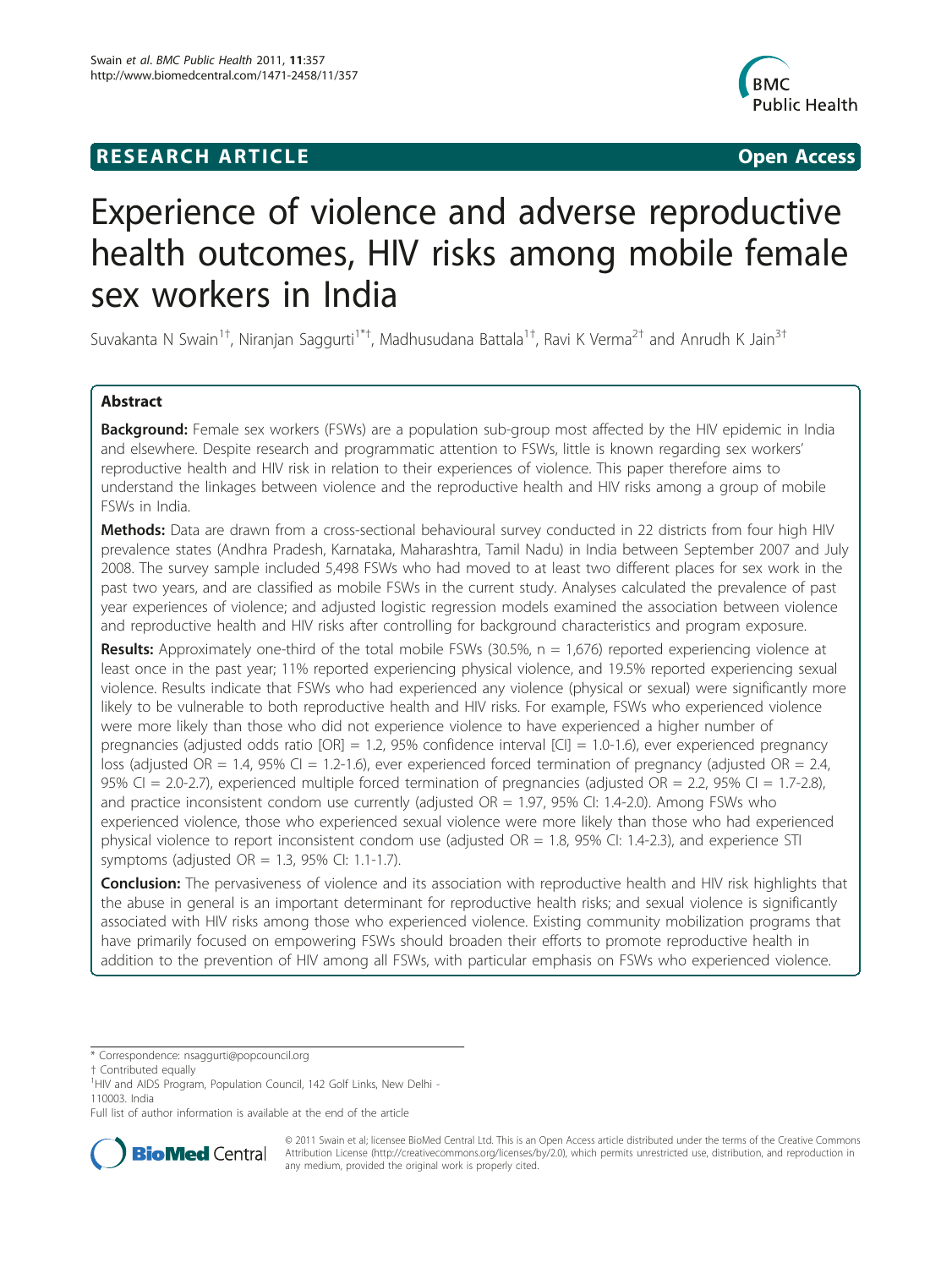## **RESEARCH ARTICLE Example 2018 12:00 Open Access**



# Experience of violence and adverse reproductive health outcomes, HIV risks among mobile female sex workers in India

Suvakanta N Swain $^{1\dagger}$ , Niranjan Saggurti $^{1*+}$ , Madhusudana Battala $^{1+}$ , Ravi K Verma $^{2+}$  and Anrudh K Jain $^{3+}$ 

## Abstract

Background: Female sex workers (FSWs) are a population sub-group most affected by the HIV epidemic in India and elsewhere. Despite research and programmatic attention to FSWs, little is known regarding sex workers' reproductive health and HIV risk in relation to their experiences of violence. This paper therefore aims to understand the linkages between violence and the reproductive health and HIV risks among a group of mobile FSWs in India.

Methods: Data are drawn from a cross-sectional behavioural survey conducted in 22 districts from four high HIV prevalence states (Andhra Pradesh, Karnataka, Maharashtra, Tamil Nadu) in India between September 2007 and July 2008. The survey sample included 5,498 FSWs who had moved to at least two different places for sex work in the past two years, and are classified as mobile FSWs in the current study. Analyses calculated the prevalence of past year experiences of violence; and adjusted logistic regression models examined the association between violence and reproductive health and HIV risks after controlling for background characteristics and program exposure.

**Results:** Approximately one-third of the total mobile FSWs (30.5%,  $n = 1.676$ ) reported experiencing violence at least once in the past year; 11% reported experiencing physical violence, and 19.5% reported experiencing sexual violence. Results indicate that FSWs who had experienced any violence (physical or sexual) were significantly more likely to be vulnerable to both reproductive health and HIV risks. For example, FSWs who experienced violence were more likely than those who did not experience violence to have experienced a higher number of pregnancies (adjusted odds ratio [OR] = 1.2, 95% confidence interval [CI] = 1.0-1.6), ever experienced pregnancy loss (adjusted OR = 1.4, 95% CI = 1.2-1.6), ever experienced forced termination of pregnancy (adjusted OR = 2.4, 95% CI = 2.0-2.7), experienced multiple forced termination of pregnancies (adjusted OR = 2.2, 95% CI = 1.7-2.8), and practice inconsistent condom use currently (adjusted  $OR = 1.97$ , 95% CI: 1.4-2.0). Among FSWs who experienced violence, those who experienced sexual violence were more likely than those who had experienced physical violence to report inconsistent condom use (adjusted OR = 1.8, 95% CI: 1.4-2.3), and experience STI symptoms (adjusted OR = 1.3, 95% CI: 1.1-1.7).

Conclusion: The pervasiveness of violence and its association with reproductive health and HIV risk highlights that the abuse in general is an important determinant for reproductive health risks; and sexual violence is significantly associated with HIV risks among those who experienced violence. Existing community mobilization programs that have primarily focused on empowering FSWs should broaden their efforts to promote reproductive health in addition to the prevention of HIV among all FSWs, with particular emphasis on FSWs who experienced violence.

† Contributed equally <sup>1</sup>

Full list of author information is available at the end of the article



© 2011 Swain et al; licensee BioMed Central Ltd. This is an Open Access article distributed under the terms of the Creative Commons Attribution License [\(http://creativecommons.org/licenses/by/2.0](http://creativecommons.org/licenses/by/2.0)), which permits unrestricted use, distribution, and reproduction in any medium, provided the original work is properly cited.

<sup>\*</sup> Correspondence: [nsaggurti@popcouncil.org](mailto:nsaggurti@popcouncil.org)

<sup>&</sup>lt;sup>1</sup>HIV and AIDS Program, Population Council, 142 Golf Links, New Delhi -110003. India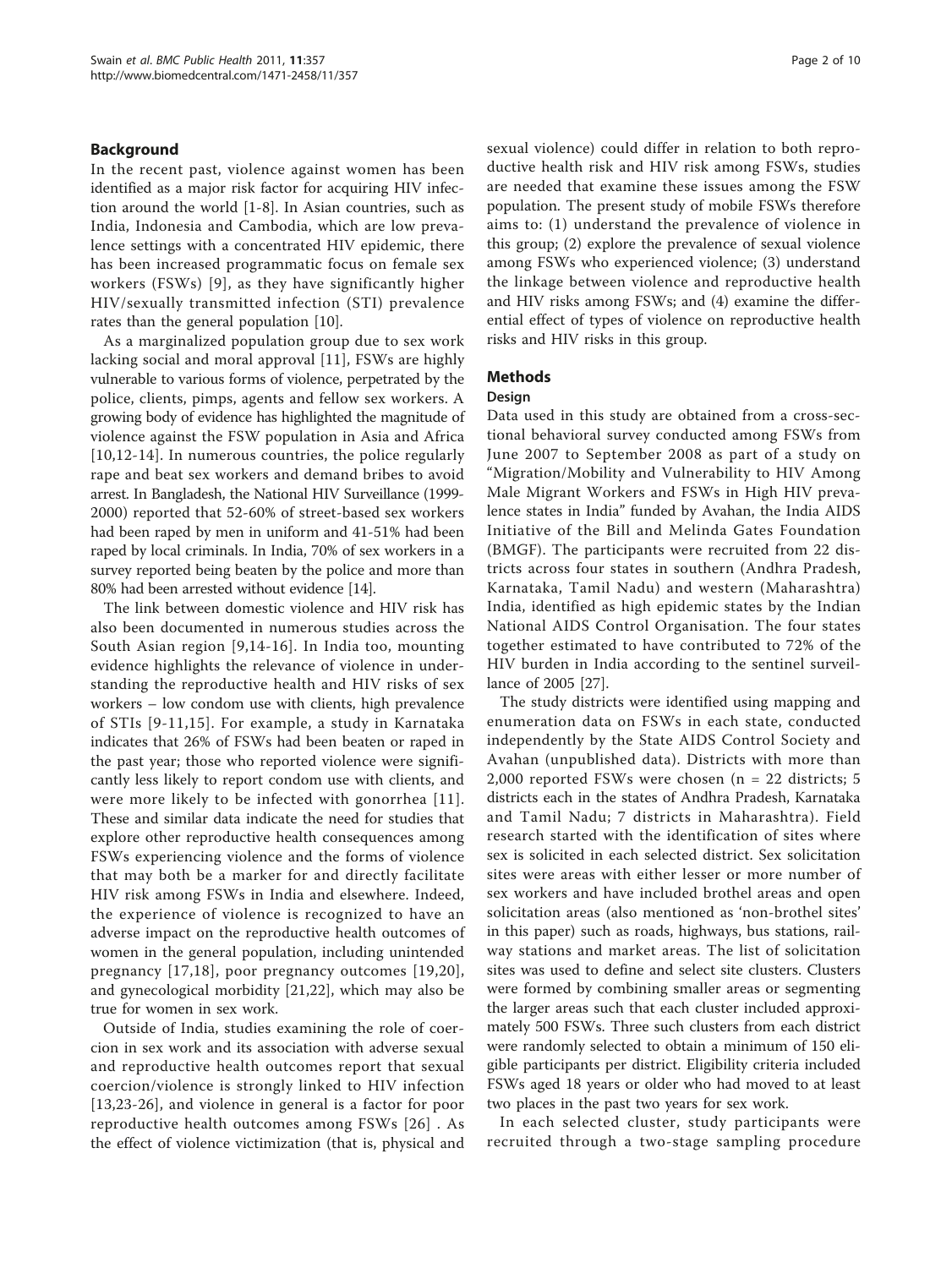## Background

In the recent past, violence against women has been identified as a major risk factor for acquiring HIV infection around the world [[1](#page-8-0)-[8\]](#page-8-0). In Asian countries, such as India, Indonesia and Cambodia, which are low prevalence settings with a concentrated HIV epidemic, there has been increased programmatic focus on female sex workers (FSWs) [[9](#page-8-0)], as they have significantly higher HIV/sexually transmitted infection (STI) prevalence rates than the general population [[10](#page-8-0)].

As a marginalized population group due to sex work lacking social and moral approval [[11\]](#page-8-0), FSWs are highly vulnerable to various forms of violence, perpetrated by the police, clients, pimps, agents and fellow sex workers. A growing body of evidence has highlighted the magnitude of violence against the FSW population in Asia and Africa [[10](#page-8-0),[12-14\]](#page-8-0). In numerous countries, the police regularly rape and beat sex workers and demand bribes to avoid arrest. In Bangladesh, the National HIV Surveillance (1999- 2000) reported that 52-60% of street-based sex workers had been raped by men in uniform and 41-51% had been raped by local criminals. In India, 70% of sex workers in a survey reported being beaten by the police and more than 80% had been arrested without evidence [[14](#page-8-0)].

The link between domestic violence and HIV risk has also been documented in numerous studies across the South Asian region [[9](#page-8-0),[14](#page-8-0)-[16](#page-8-0)]. In India too, mounting evidence highlights the relevance of violence in understanding the reproductive health and HIV risks of sex workers – low condom use with clients, high prevalence of STIs [[9](#page-8-0)-[11,15\]](#page-8-0). For example, a study in Karnataka indicates that 26% of FSWs had been beaten or raped in the past year; those who reported violence were significantly less likely to report condom use with clients, and were more likely to be infected with gonorrhea [\[11\]](#page-8-0). These and similar data indicate the need for studies that explore other reproductive health consequences among FSWs experiencing violence and the forms of violence that may both be a marker for and directly facilitate HIV risk among FSWs in India and elsewhere. Indeed, the experience of violence is recognized to have an adverse impact on the reproductive health outcomes of women in the general population, including unintended pregnancy [[17,18\]](#page-8-0), poor pregnancy outcomes [[19](#page-8-0),[20\]](#page-8-0), and gynecological morbidity [[21,22\]](#page-8-0), which may also be true for women in sex work.

Outside of India, studies examining the role of coercion in sex work and its association with adverse sexual and reproductive health outcomes report that sexual coercion/violence is strongly linked to HIV infection [[13](#page-8-0),[23-26\]](#page-9-0), and violence in general is a factor for poor reproductive health outcomes among FSWs [[26](#page-9-0)] . As the effect of violence victimization (that is, physical and sexual violence) could differ in relation to both reproductive health risk and HIV risk among FSWs, studies are needed that examine these issues among the FSW population. The present study of mobile FSWs therefore aims to: (1) understand the prevalence of violence in this group; (2) explore the prevalence of sexual violence among FSWs who experienced violence; (3) understand the linkage between violence and reproductive health and HIV risks among FSWs; and (4) examine the differential effect of types of violence on reproductive health risks and HIV risks in this group.

## Methods

#### Design

Data used in this study are obtained from a cross-sectional behavioral survey conducted among FSWs from June 2007 to September 2008 as part of a study on "Migration/Mobility and Vulnerability to HIV Among Male Migrant Workers and FSWs in High HIV prevalence states in India" funded by Avahan, the India AIDS Initiative of the Bill and Melinda Gates Foundation (BMGF). The participants were recruited from 22 districts across four states in southern (Andhra Pradesh, Karnataka, Tamil Nadu) and western (Maharashtra) India, identified as high epidemic states by the Indian National AIDS Control Organisation. The four states together estimated to have contributed to 72% of the HIV burden in India according to the sentinel surveillance of 2005 [\[27\]](#page-9-0).

The study districts were identified using mapping and enumeration data on FSWs in each state, conducted independently by the State AIDS Control Society and Avahan (unpublished data). Districts with more than 2,000 reported FSWs were chosen (n = 22 districts; 5 districts each in the states of Andhra Pradesh, Karnataka and Tamil Nadu; 7 districts in Maharashtra). Field research started with the identification of sites where sex is solicited in each selected district. Sex solicitation sites were areas with either lesser or more number of sex workers and have included brothel areas and open solicitation areas (also mentioned as 'non-brothel sites' in this paper) such as roads, highways, bus stations, railway stations and market areas. The list of solicitation sites was used to define and select site clusters. Clusters were formed by combining smaller areas or segmenting the larger areas such that each cluster included approximately 500 FSWs. Three such clusters from each district were randomly selected to obtain a minimum of 150 eligible participants per district. Eligibility criteria included FSWs aged 18 years or older who had moved to at least two places in the past two years for sex work.

In each selected cluster, study participants were recruited through a two-stage sampling procedure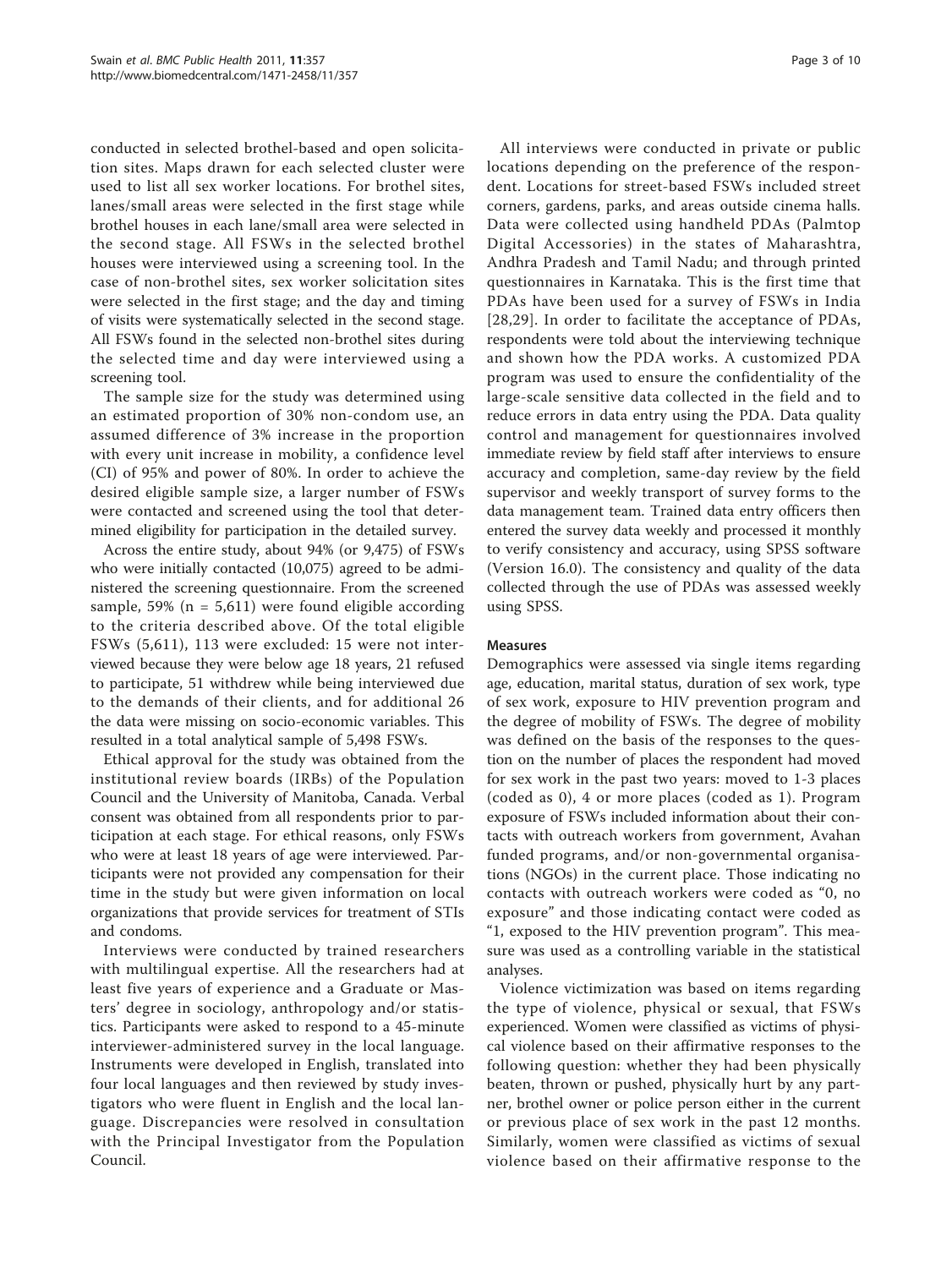conducted in selected brothel-based and open solicitation sites. Maps drawn for each selected cluster were used to list all sex worker locations. For brothel sites, lanes/small areas were selected in the first stage while brothel houses in each lane/small area were selected in the second stage. All FSWs in the selected brothel houses were interviewed using a screening tool. In the case of non-brothel sites, sex worker solicitation sites were selected in the first stage; and the day and timing of visits were systematically selected in the second stage. All FSWs found in the selected non-brothel sites during the selected time and day were interviewed using a screening tool.

The sample size for the study was determined using an estimated proportion of 30% non-condom use, an assumed difference of 3% increase in the proportion with every unit increase in mobility, a confidence level (CI) of 95% and power of 80%. In order to achieve the desired eligible sample size, a larger number of FSWs were contacted and screened using the tool that determined eligibility for participation in the detailed survey.

Across the entire study, about 94% (or 9,475) of FSWs who were initially contacted (10,075) agreed to be administered the screening questionnaire. From the screened sample, 59% ( $n = 5,611$ ) were found eligible according to the criteria described above. Of the total eligible FSWs (5,611), 113 were excluded: 15 were not interviewed because they were below age 18 years, 21 refused to participate, 51 withdrew while being interviewed due to the demands of their clients, and for additional 26 the data were missing on socio-economic variables. This resulted in a total analytical sample of 5,498 FSWs.

Ethical approval for the study was obtained from the institutional review boards (IRBs) of the Population Council and the University of Manitoba, Canada. Verbal consent was obtained from all respondents prior to participation at each stage. For ethical reasons, only FSWs who were at least 18 years of age were interviewed. Participants were not provided any compensation for their time in the study but were given information on local organizations that provide services for treatment of STIs and condoms.

Interviews were conducted by trained researchers with multilingual expertise. All the researchers had at least five years of experience and a Graduate or Masters' degree in sociology, anthropology and/or statistics. Participants were asked to respond to a 45-minute interviewer-administered survey in the local language. Instruments were developed in English, translated into four local languages and then reviewed by study investigators who were fluent in English and the local language. Discrepancies were resolved in consultation with the Principal Investigator from the Population Council.

All interviews were conducted in private or public locations depending on the preference of the respondent. Locations for street-based FSWs included street corners, gardens, parks, and areas outside cinema halls. Data were collected using handheld PDAs (Palmtop Digital Accessories) in the states of Maharashtra, Andhra Pradesh and Tamil Nadu; and through printed questionnaires in Karnataka. This is the first time that PDAs have been used for a survey of FSWs in India [[28](#page-9-0),[29](#page-9-0)]. In order to facilitate the acceptance of PDAs, respondents were told about the interviewing technique and shown how the PDA works. A customized PDA program was used to ensure the confidentiality of the large-scale sensitive data collected in the field and to reduce errors in data entry using the PDA. Data quality control and management for questionnaires involved immediate review by field staff after interviews to ensure accuracy and completion, same-day review by the field supervisor and weekly transport of survey forms to the data management team. Trained data entry officers then entered the survey data weekly and processed it monthly to verify consistency and accuracy, using SPSS software (Version 16.0). The consistency and quality of the data collected through the use of PDAs was assessed weekly using SPSS.

## Measures

Demographics were assessed via single items regarding age, education, marital status, duration of sex work, type of sex work, exposure to HIV prevention program and the degree of mobility of FSWs. The degree of mobility was defined on the basis of the responses to the question on the number of places the respondent had moved for sex work in the past two years: moved to 1-3 places (coded as 0), 4 or more places (coded as 1). Program exposure of FSWs included information about their contacts with outreach workers from government, Avahan funded programs, and/or non-governmental organisations (NGOs) in the current place. Those indicating no contacts with outreach workers were coded as "0, no exposure" and those indicating contact were coded as "1, exposed to the HIV prevention program". This measure was used as a controlling variable in the statistical analyses.

Violence victimization was based on items regarding the type of violence, physical or sexual, that FSWs experienced. Women were classified as victims of physical violence based on their affirmative responses to the following question: whether they had been physically beaten, thrown or pushed, physically hurt by any partner, brothel owner or police person either in the current or previous place of sex work in the past 12 months. Similarly, women were classified as victims of sexual violence based on their affirmative response to the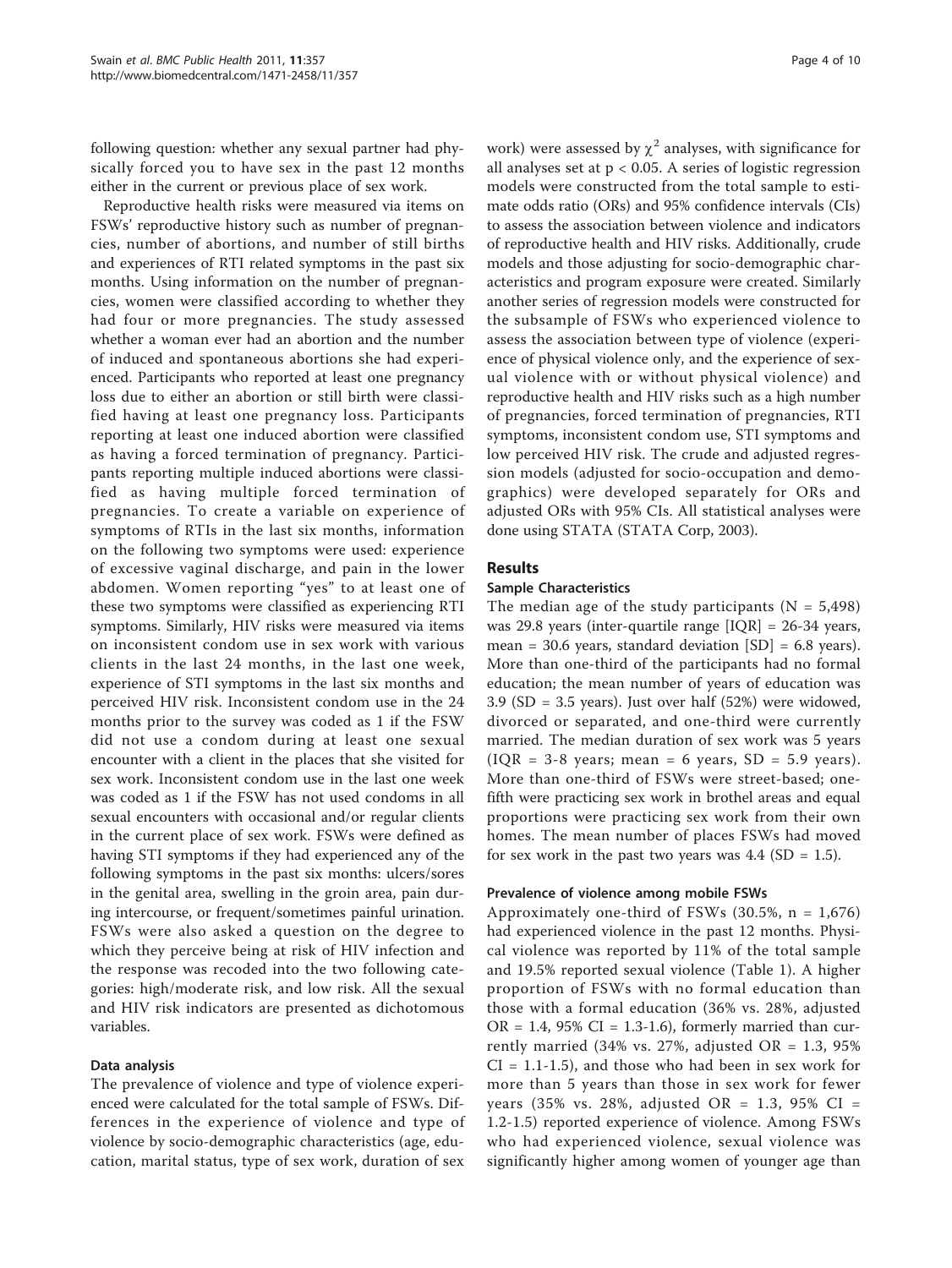following question: whether any sexual partner had physically forced you to have sex in the past 12 months either in the current or previous place of sex work.

Reproductive health risks were measured via items on FSWs' reproductive history such as number of pregnancies, number of abortions, and number of still births and experiences of RTI related symptoms in the past six months. Using information on the number of pregnancies, women were classified according to whether they had four or more pregnancies. The study assessed whether a woman ever had an abortion and the number of induced and spontaneous abortions she had experienced. Participants who reported at least one pregnancy loss due to either an abortion or still birth were classified having at least one pregnancy loss. Participants reporting at least one induced abortion were classified as having a forced termination of pregnancy. Participants reporting multiple induced abortions were classified as having multiple forced termination of pregnancies. To create a variable on experience of symptoms of RTIs in the last six months, information on the following two symptoms were used: experience of excessive vaginal discharge, and pain in the lower abdomen. Women reporting "yes" to at least one of these two symptoms were classified as experiencing RTI symptoms. Similarly, HIV risks were measured via items on inconsistent condom use in sex work with various clients in the last 24 months, in the last one week, experience of STI symptoms in the last six months and perceived HIV risk. Inconsistent condom use in the 24 months prior to the survey was coded as 1 if the FSW did not use a condom during at least one sexual encounter with a client in the places that she visited for sex work. Inconsistent condom use in the last one week was coded as 1 if the FSW has not used condoms in all sexual encounters with occasional and/or regular clients in the current place of sex work. FSWs were defined as having STI symptoms if they had experienced any of the following symptoms in the past six months: ulcers/sores in the genital area, swelling in the groin area, pain during intercourse, or frequent/sometimes painful urination. FSWs were also asked a question on the degree to which they perceive being at risk of HIV infection and the response was recoded into the two following categories: high/moderate risk, and low risk. All the sexual and HIV risk indicators are presented as dichotomous variables.

## Data analysis

The prevalence of violence and type of violence experienced were calculated for the total sample of FSWs. Differences in the experience of violence and type of violence by socio-demographic characteristics (age, education, marital status, type of sex work, duration of sex work) were assessed by  $\chi^2$  analyses, with significance for all analyses set at  $p < 0.05$ . A series of logistic regression models were constructed from the total sample to estimate odds ratio (ORs) and 95% confidence intervals (CIs) to assess the association between violence and indicators of reproductive health and HIV risks. Additionally, crude models and those adjusting for socio-demographic characteristics and program exposure were created. Similarly another series of regression models were constructed for the subsample of FSWs who experienced violence to assess the association between type of violence (experience of physical violence only, and the experience of sexual violence with or without physical violence) and reproductive health and HIV risks such as a high number of pregnancies, forced termination of pregnancies, RTI symptoms, inconsistent condom use, STI symptoms and low perceived HIV risk. The crude and adjusted regression models (adjusted for socio-occupation and demographics) were developed separately for ORs and adjusted ORs with 95% CIs. All statistical analyses were done using STATA (STATA Corp, 2003).

## Results

#### Sample Characteristics

The median age of the study participants ( $N = 5,498$ ) was 29.8 years (inter-quartile range [IQR] = 26-34 years, mean = 30.6 years, standard deviation  $[SD] = 6.8$  years). More than one-third of the participants had no formal education; the mean number of years of education was 3.9 (SD = 3.5 years). Just over half (52%) were widowed, divorced or separated, and one-third were currently married. The median duration of sex work was 5 years  $IQR = 3-8$  years; mean = 6 years, SD = 5.9 years). More than one-third of FSWs were street-based; onefifth were practicing sex work in brothel areas and equal proportions were practicing sex work from their own homes. The mean number of places FSWs had moved for sex work in the past two years was  $4.4$  (SD = 1.5).

## Prevalence of violence among mobile FSWs

Approximately one-third of FSWs  $(30.5\% , n = 1,676)$ had experienced violence in the past 12 months. Physical violence was reported by 11% of the total sample and 19.5% reported sexual violence (Table [1\)](#page-4-0). A higher proportion of FSWs with no formal education than those with a formal education (36% vs. 28%, adjusted  $OR = 1.4$ , 95%  $CI = 1.3-1.6$ ), formerly married than currently married  $(34\% \text{ vs. } 27\%$ , adjusted OR = 1.3, 95%  $CI = 1.1 - 1.5$ , and those who had been in sex work for more than 5 years than those in sex work for fewer years (35% vs. 28%, adjusted OR = 1.3, 95% CI = 1.2-1.5) reported experience of violence. Among FSWs who had experienced violence, sexual violence was significantly higher among women of younger age than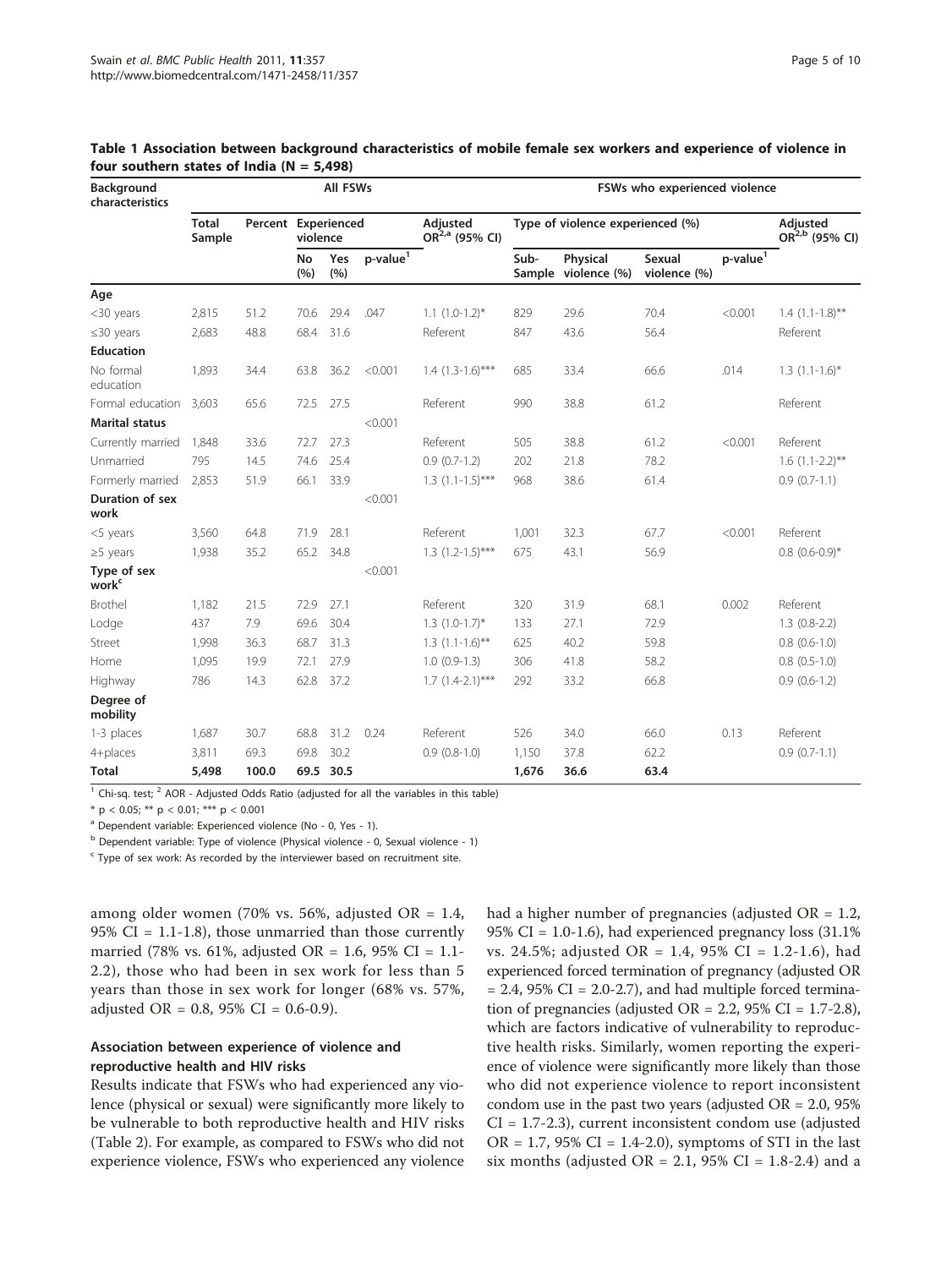| Background<br>characteristics               | <b>All FSWs</b>        |       |                                 |            |                |                                        | FSWs who experienced violence    |                                 |                        |                |                                        |
|---------------------------------------------|------------------------|-------|---------------------------------|------------|----------------|----------------------------------------|----------------------------------|---------------------------------|------------------------|----------------|----------------------------------------|
|                                             | <b>Total</b><br>Sample |       | Percent Experienced<br>violence |            |                | Adjusted<br>OR <sup>2,a</sup> (95% CI) | Type of violence experienced (%) |                                 |                        |                | Adjusted<br>OR <sup>2,b</sup> (95% CI) |
|                                             |                        |       | <b>No</b><br>(%)                | Yes<br>(%) | $p$ -value $1$ |                                        | Sub-                             | Physical<br>Sample violence (%) | Sexual<br>violence (%) | $p$ -value $1$ |                                        |
| Age                                         |                        |       |                                 |            |                |                                        |                                  |                                 |                        |                |                                        |
| $<$ 30 years                                | 2,815                  | 51.2  | 70.6                            | 29.4       | .047           | $1.1(1.0-1.2)^{*}$                     | 829                              | 29.6                            | 70.4                   | < 0.001        | $1.4$ $(1.1-1.8)$ **                   |
| $\leq$ 30 years                             | 2,683                  | 48.8  | 68.4                            | 31.6       |                | Referent                               | 847                              | 43.6                            | 56.4                   |                | Referent                               |
| <b>Education</b>                            |                        |       |                                 |            |                |                                        |                                  |                                 |                        |                |                                        |
| No formal<br>education                      | 1,893                  | 34.4  | 63.8                            | 36.2       | < 0.001        | $1.4$ $(1.3-1.6)$ ***                  | 685                              | 33.4                            | 66.6                   | .014           | $1.3(1.1-1.6)^{*}$                     |
| Formal education                            | 3,603                  | 65.6  | 72.5                            | 27.5       |                | Referent                               | 990                              | 38.8                            | 61.2                   |                | Referent                               |
| <b>Marital status</b>                       |                        |       |                                 |            | < 0.001        |                                        |                                  |                                 |                        |                |                                        |
| Currently married                           | 1,848                  | 33.6  | 72.7                            | 27.3       |                | Referent                               | 505                              | 38.8                            | 61.2                   | < 0.001        | Referent                               |
| Unmarried                                   | 795                    | 14.5  | 74.6                            | 25.4       |                | $0.9(0.7-1.2)$                         | 202                              | 21.8                            | 78.2                   |                | $1.6$ $(1.1-2.2)$ **                   |
| Formerly married                            | 2,853                  | 51.9  | 66.1                            | 33.9       |                | $1.3$ $(1.1-1.5)$ ***                  | 968                              | 38.6                            | 61.4                   |                | $0.9(0.7-1.1)$                         |
| Duration of sex<br>work                     |                        |       |                                 |            | < 0.001        |                                        |                                  |                                 |                        |                |                                        |
| $<$ 5 years                                 | 3,560                  | 64.8  | 71.9                            | 28.1       |                | Referent                               | 1,001                            | 32.3                            | 67.7                   | < 0.001        | Referent                               |
| $\geq$ 5 years                              | 1,938                  | 35.2  | 65.2                            | 34.8       |                | $1.3$ $(1.2-1.5)$ ***                  | 675                              | 43.1                            | 56.9                   |                | $0.8$ $(0.6-0.9)$ *                    |
| Type of sex<br>$\textsf{work}^{\textsf{c}}$ |                        |       |                                 |            | < 0.001        |                                        |                                  |                                 |                        |                |                                        |
| Brothel                                     | 1,182                  | 21.5  | 72.9                            | 27.1       |                | Referent                               | 320                              | 31.9                            | 68.1                   | 0.002          | Referent                               |
| Lodge                                       | 437                    | 7.9   | 69.6                            | 30.4       |                | $1.3$ $(1.0-1.7)$ *                    | 133                              | 27.1                            | 72.9                   |                | $1.3(0.8-2.2)$                         |
| Street                                      | 1,998                  | 36.3  | 68.7                            | 31.3       |                | $1.3(1.1-1.6)$ **                      | 625                              | 40.2                            | 59.8                   |                | $0.8$ $(0.6-1.0)$                      |
| Home                                        | 1,095                  | 19.9  | 72.1                            | 27.9       |                | $1.0(0.9-1.3)$                         | 306                              | 41.8                            | 58.2                   |                | $0.8$ $(0.5-1.0)$                      |
| Highway                                     | 786                    | 14.3  | 62.8                            | 37.2       |                | $1.7(1.4-2.1)$ ***                     | 292                              | 33.2                            | 66.8                   |                | $0.9(0.6-1.2)$                         |
| Degree of<br>mobility                       |                        |       |                                 |            |                |                                        |                                  |                                 |                        |                |                                        |
| 1-3 places                                  | 1,687                  | 30.7  | 68.8                            | 31.2       | 0.24           | Referent                               | 526                              | 34.0                            | 66.0                   | 0.13           | Referent                               |
| 4+places                                    | 3,811                  | 69.3  | 69.8                            | 30.2       |                | $0.9(0.8-1.0)$                         | 1,150                            | 37.8                            | 62.2                   |                | $0.9(0.7-1.1)$                         |
| <b>Total</b>                                | 5,498                  | 100.0 |                                 | 69.5 30.5  |                |                                        | 1,676                            | 36.6                            | 63.4                   |                |                                        |

<span id="page-4-0"></span>Table 1 Association between background characteristics of mobile female sex workers and experience of violence in four southern states of India ( $N = 5,498$ )

<sup>1</sup> Chi-sq. test;  $2$  AOR - Adjusted Odds Ratio (adjusted for all the variables in this table)

 $*$  p < 0.05; \*\* p < 0.01; \*\*\* p < 0.001

<sup>a</sup> Dependent variable: Experienced violence (No - 0, Yes - 1).

<sup>b</sup> Dependent variable: Type of violence (Physical violence - 0, Sexual violence - 1)

<sup>c</sup> Type of sex work: As recorded by the interviewer based on recruitment site.

among older women (70% vs. 56%, adjusted OR =  $1.4$ , 95% CI =  $1.1-1.8$ ), those unmarried than those currently married (78% vs. 61%, adjusted OR = 1.6, 95% CI = 1.1- 2.2), those who had been in sex work for less than 5 years than those in sex work for longer (68% vs. 57%, adjusted OR =  $0.8$ , 95% CI =  $0.6 - 0.9$ ).

## Association between experience of violence and reproductive health and HIV risks

Results indicate that FSWs who had experienced any violence (physical or sexual) were significantly more likely to be vulnerable to both reproductive health and HIV risks (Table [2\)](#page-5-0). For example, as compared to FSWs who did not experience violence, FSWs who experienced any violence had a higher number of pregnancies (adjusted  $OR = 1.2$ , 95% CI = 1.0-1.6), had experienced pregnancy loss  $(31.1\%)$ vs. 24.5%; adjusted OR = 1.4, 95% CI = 1.2-1.6), had experienced forced termination of pregnancy (adjusted OR  $= 2.4$ , 95% CI  $= 2.0 - 2.7$ ), and had multiple forced termination of pregnancies (adjusted OR =  $2.2$ ,  $95\%$  CI =  $1.7-2.8$ ), which are factors indicative of vulnerability to reproductive health risks. Similarly, women reporting the experience of violence were significantly more likely than those who did not experience violence to report inconsistent condom use in the past two years (adjusted  $OR = 2.0, 95\%$ CI = 1.7-2.3), current inconsistent condom use (adjusted OR = 1.7, 95% CI = 1.4-2.0), symptoms of STI in the last six months (adjusted OR = 2.1, 95% CI =  $1.8-2.4$ ) and a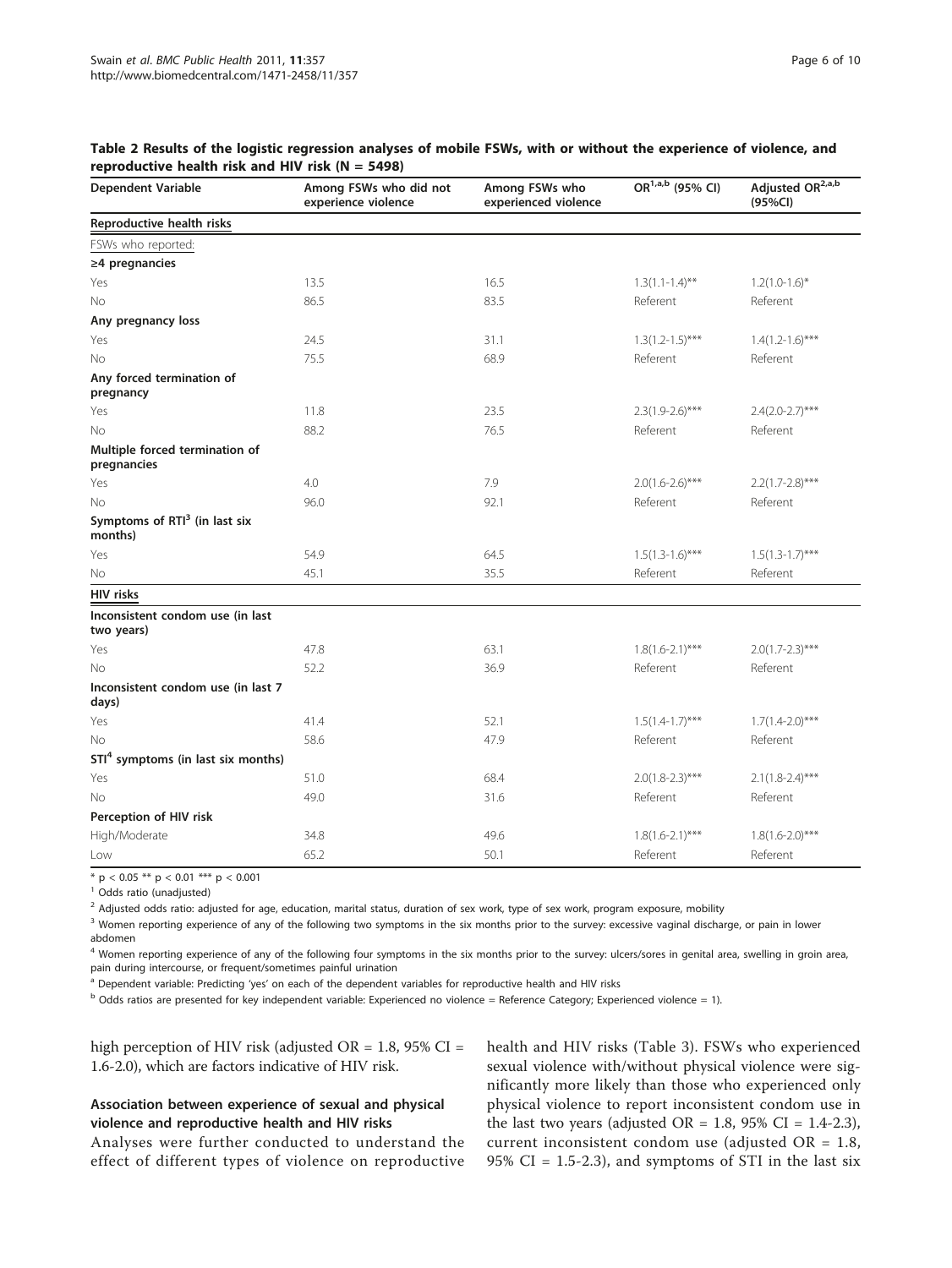| <b>Dependent Variable</b>                            | Among FSWs who did not<br>experience violence | Among FSWs who<br>experienced violence | $OR^{1,a,b}$ (95% CI) | Adjusted OR <sup>2,a,b</sup><br>(95%CI) |
|------------------------------------------------------|-----------------------------------------------|----------------------------------------|-----------------------|-----------------------------------------|
| Reproductive health risks                            |                                               |                                        |                       |                                         |
| FSWs who reported:                                   |                                               |                                        |                       |                                         |
| $\geq$ 4 pregnancies                                 |                                               |                                        |                       |                                         |
| Yes                                                  | 13.5                                          | 16.5                                   | $1.3(1.1-1.4)$ **     | $1.2(1.0-1.6)$ *                        |
| No                                                   | 86.5                                          | 83.5                                   | Referent              | Referent                                |
| Any pregnancy loss                                   |                                               |                                        |                       |                                         |
| Yes                                                  | 24.5                                          | 31.1                                   | $1.3(1.2-1.5)$ ***    | $1.4(1.2-1.6)$ ***                      |
| No                                                   | 75.5                                          | 68.9                                   | Referent              | Referent                                |
| Any forced termination of<br>pregnancy               |                                               |                                        |                       |                                         |
| Yes                                                  | 11.8                                          | 23.5                                   | $2.3(1.9-2.6)$ ***    | $2.4(2.0-2.7)$ ***                      |
| No                                                   | 88.2                                          | 76.5                                   | Referent              | Referent                                |
| Multiple forced termination of<br>pregnancies        |                                               |                                        |                       |                                         |
| Yes                                                  | 4.0                                           | 7.9                                    | $2.0(1.6-2.6)$ ***    | $2.2(1.7 - 2.8)$ ***                    |
| No                                                   | 96.0                                          | 92.1                                   | Referent              | Referent                                |
| Symptoms of RTI <sup>3</sup> (in last six<br>months) |                                               |                                        |                       |                                         |
| Yes                                                  | 54.9                                          | 64.5                                   | $1.5(1.3-1.6)$ ***    | $1.5(1.3-1.7)$ ***                      |
| No                                                   | 45.1                                          | 35.5                                   | Referent              | Referent                                |
| <b>HIV risks</b>                                     |                                               |                                        |                       |                                         |
| Inconsistent condom use (in last<br>two years)       |                                               |                                        |                       |                                         |
| Yes                                                  | 47.8                                          | 63.1                                   | $1.8(1.6 - 2.1)$ ***  | $2.0(1.7 - 2.3)$ ***                    |
| No                                                   | 52.2                                          | 36.9                                   | Referent              | Referent                                |
| Inconsistent condom use (in last 7<br>days)          |                                               |                                        |                       |                                         |
| Yes                                                  | 41.4                                          | 52.1                                   | $1.5(1.4-1.7)$ ***    | $1.7(1.4-2.0)$ ***                      |
| No                                                   | 58.6                                          | 47.9                                   | Referent              | Referent                                |
| STI <sup>4</sup> symptoms (in last six months)       |                                               |                                        |                       |                                         |
| Yes                                                  | 51.0                                          | 68.4                                   | $2.0(1.8-2.3)$ ***    | $2.1(1.8-2.4)$ ***                      |
| No                                                   | 49.0                                          | 31.6                                   | Referent              | Referent                                |
| Perception of HIV risk                               |                                               |                                        |                       |                                         |
| High/Moderate                                        | 34.8                                          | 49.6                                   | $1.8(1.6-2.1)$ ***    | $1.8(1.6 - 2.0)$ ***                    |
| Low                                                  | 65.2                                          | 50.1                                   | Referent              | Referent                                |

## <span id="page-5-0"></span>Table 2 Results of the logistic regression analyses of mobile FSWs, with or without the experience of violence, and reproductive health risk and HIV risk  $(N = 5498)$

 $*$  p < 0.05 \*\* p < 0.01 \*\*\* p < 0.001

<sup>1</sup> Odds ratio (unadjusted)

<sup>2</sup> Adjusted odds ratio: adjusted for age, education, marital status, duration of sex work, type of sex work, program exposure, mobility

<sup>3</sup> Women reporting experience of any of the following two symptoms in the six months prior to the survey: excessive vaginal discharge, or pain in lower abdomen

<sup>4</sup> Women reporting experience of any of the following four symptoms in the six months prior to the survey: ulcers/sores in genital area, swelling in groin area, pain during intercourse, or frequent/sometimes painful urination

<sup>a</sup> Dependent variable: Predicting 'yes' on each of the dependent variables for reproductive health and HIV risks

 $b$  Odds ratios are presented for key independent variable: Experienced no violence = Reference Category; Experienced violence = 1).

high perception of HIV risk (adjusted  $OR = 1.8$ , 95%  $CI =$ 1.6-2.0), which are factors indicative of HIV risk.

## Association between experience of sexual and physical violence and reproductive health and HIV risks

Analyses were further conducted to understand the effect of different types of violence on reproductive

health and HIV risks (Table [3](#page-6-0)). FSWs who experienced sexual violence with/without physical violence were significantly more likely than those who experienced only physical violence to report inconsistent condom use in the last two years (adjusted  $OR = 1.8$ , 95%  $CI = 1.4-2.3$ ), current inconsistent condom use (adjusted OR = 1.8, 95% CI =  $1.5$ -2.3), and symptoms of STI in the last six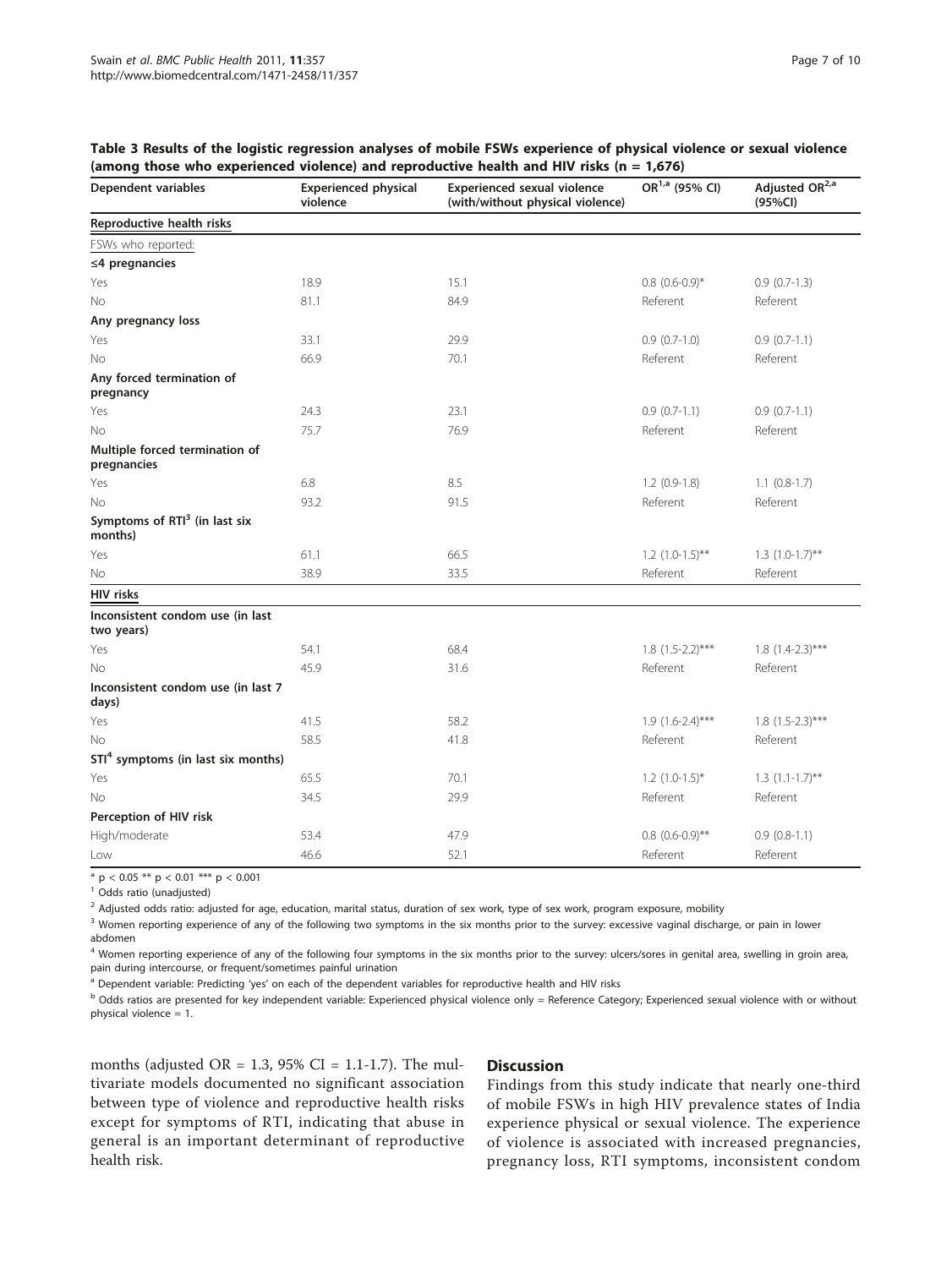| Dependent variables                                  | <b>Experienced physical</b><br>violence | Experienced sexual violence<br>(with/without physical violence) | $OR^{1,a}$ (95% CI)   | Adjusted OR <sup>2,a</sup><br>$(95\%CI)$ |
|------------------------------------------------------|-----------------------------------------|-----------------------------------------------------------------|-----------------------|------------------------------------------|
| Reproductive health risks                            |                                         |                                                                 |                       |                                          |
| FSWs who reported:                                   |                                         |                                                                 |                       |                                          |
| $\leq$ 4 pregnancies                                 |                                         |                                                                 |                       |                                          |
| Yes                                                  | 18.9                                    | 15.1                                                            | $0.8$ $(0.6-0.9)$ *   | $0.9(0.7-1.3)$                           |
| No                                                   | 81.1                                    | 84.9                                                            | Referent              | Referent                                 |
| Any pregnancy loss                                   |                                         |                                                                 |                       |                                          |
| Yes                                                  | 33.1                                    | 29.9                                                            | $0.9(0.7-1.0)$        | $0.9(0.7-1.1)$                           |
| No                                                   | 66.9                                    | 70.1                                                            | Referent              | Referent                                 |
| Any forced termination of<br>pregnancy               |                                         |                                                                 |                       |                                          |
| Yes                                                  | 24.3                                    | 23.1                                                            | $0.9(0.7-1.1)$        | $0.9(0.7-1.1)$                           |
| No                                                   | 75.7                                    | 76.9                                                            | Referent              | Referent                                 |
| Multiple forced termination of<br>pregnancies        |                                         |                                                                 |                       |                                          |
| Yes                                                  | 6.8                                     | 8.5                                                             | $1.2(0.9-1.8)$        | $1.1$ $(0.8-1.7)$                        |
| No                                                   | 93.2                                    | 91.5                                                            | Referent              | Referent                                 |
| Symptoms of RTI <sup>3</sup> (in last six<br>months) |                                         |                                                                 |                       |                                          |
| Yes                                                  | 61.1                                    | 66.5                                                            | $1.2$ $(1.0-1.5)$ **  | $1.3$ $(1.0-1.7)$ **                     |
| No                                                   | 38.9                                    | 33.5                                                            | Referent              | Referent                                 |
| <b>HIV risks</b>                                     |                                         |                                                                 |                       |                                          |
| Inconsistent condom use (in last<br>two years)       |                                         |                                                                 |                       |                                          |
| Yes                                                  | 54.1                                    | 68.4                                                            | $1.8$ $(1.5-2.2)$ *** | $1.8$ $(1.4-2.3)***$                     |
| No                                                   | 45.9                                    | 31.6                                                            | Referent              | Referent                                 |
| Inconsistent condom use (in last 7<br>days)          |                                         |                                                                 |                       |                                          |
| Yes                                                  | 41.5                                    | 58.2                                                            | $1.9(1.6-2.4)$ ***    | $1.8$ $(1.5-2.3)$ ***                    |
| No                                                   | 58.5                                    | 41.8                                                            | Referent              | Referent                                 |
| STI <sup>4</sup> symptoms (in last six months)       |                                         |                                                                 |                       |                                          |
| Yes                                                  | 65.5                                    | 70.1                                                            | $1.2$ $(1.0-1.5)$ *   | $1.3$ $(1.1-1.7)$ **                     |
| No                                                   | 34.5                                    | 29.9                                                            | Referent              | Referent                                 |
| Perception of HIV risk                               |                                         |                                                                 |                       |                                          |
| High/moderate                                        | 53.4                                    | 47.9                                                            | $0.8$ $(0.6-0.9)$ **  | $0.9(0.8-1.1)$                           |
| Low                                                  | 46.6                                    | 52.1                                                            | Referent              | Referent                                 |

<span id="page-6-0"></span>Table 3 Results of the logistic regression analyses of mobile FSWs experience of physical violence or sexual violence (among those who experienced violence) and reproductive health and HIV risks ( $n = 1.676$ )

 $*$  p < 0.05  $**$  p < 0.01  $***$  p < 0.001

<sup>1</sup> Odds ratio (unadjusted)

<sup>2</sup> Adjusted odds ratio: adjusted for age, education, marital status, duration of sex work, type of sex work, program exposure, mobility

<sup>3</sup> Women reporting experience of any of the following two symptoms in the six months prior to the survey: excessive vaginal discharge, or pain in lower abdomen

<sup>4</sup> Women reporting experience of any of the following four symptoms in the six months prior to the survey: ulcers/sores in genital area, swelling in groin area, pain during intercourse, or frequent/sometimes painful urination

<sup>a</sup> Dependent variable: Predicting 'yes' on each of the dependent variables for reproductive health and HIV risks

<sup>b</sup> Odds ratios are presented for key independent variable: Experienced physical violence only = Reference Category; Experienced sexual violence with or without physical violence = 1.

months (adjusted OR = 1.3, 95% CI = 1.1-1.7). The multivariate models documented no significant association between type of violence and reproductive health risks except for symptoms of RTI, indicating that abuse in general is an important determinant of reproductive health risk.

## **Discussion**

Findings from this study indicate that nearly one-third of mobile FSWs in high HIV prevalence states of India experience physical or sexual violence. The experience of violence is associated with increased pregnancies, pregnancy loss, RTI symptoms, inconsistent condom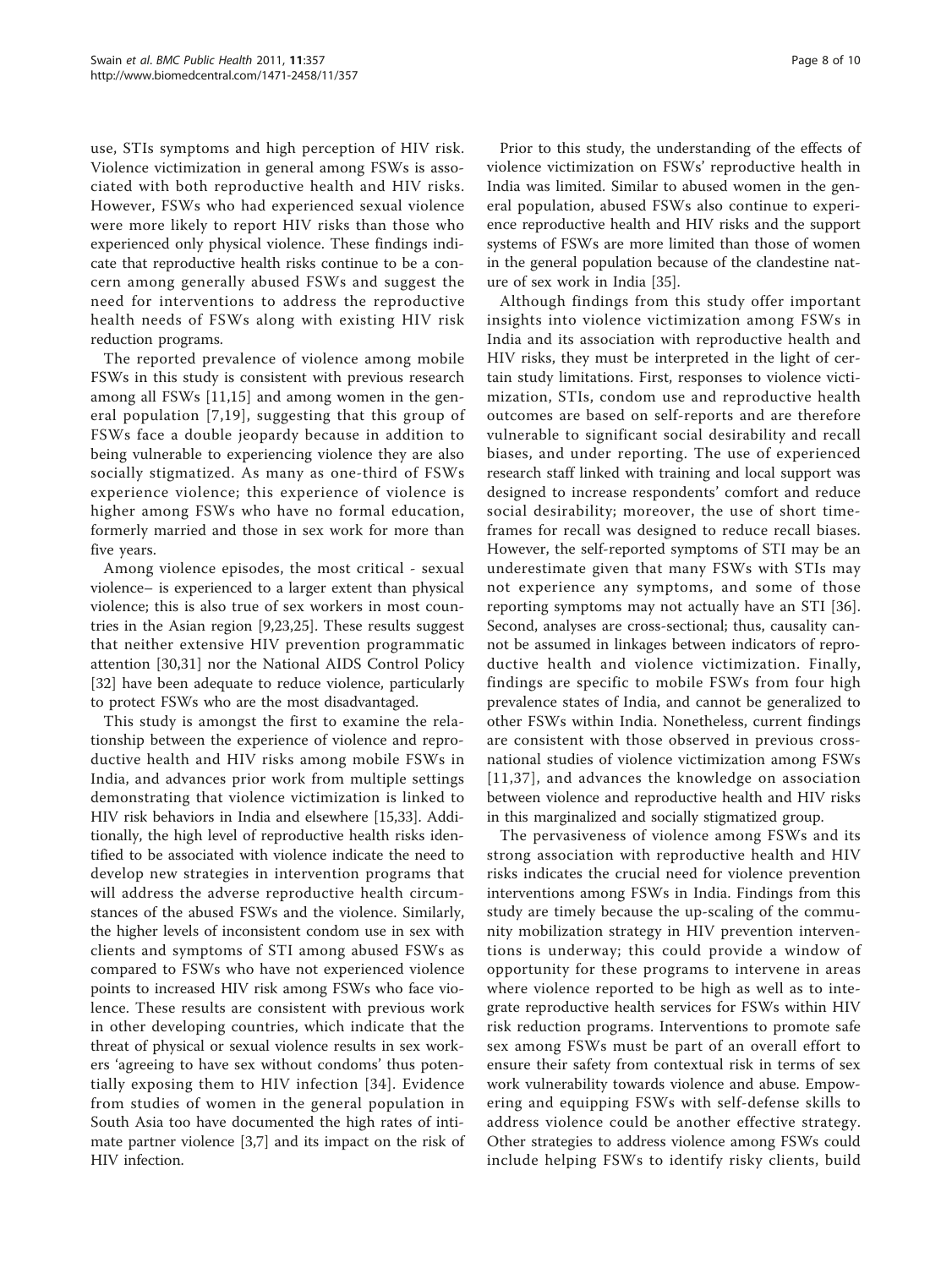use, STIs symptoms and high perception of HIV risk. Violence victimization in general among FSWs is associated with both reproductive health and HIV risks. However, FSWs who had experienced sexual violence were more likely to report HIV risks than those who experienced only physical violence. These findings indicate that reproductive health risks continue to be a concern among generally abused FSWs and suggest the need for interventions to address the reproductive health needs of FSWs along with existing HIV risk reduction programs.

The reported prevalence of violence among mobile FSWs in this study is consistent with previous research among all FSWs [[11,15](#page-8-0)] and among women in the general population [\[7,19\]](#page-8-0), suggesting that this group of FSWs face a double jeopardy because in addition to being vulnerable to experiencing violence they are also socially stigmatized. As many as one-third of FSWs experience violence; this experience of violence is higher among FSWs who have no formal education, formerly married and those in sex work for more than five years.

Among violence episodes, the most critical - sexual violence– is experienced to a larger extent than physical violence; this is also true of sex workers in most countries in the Asian region [[9,](#page-8-0)[23,25\]](#page-9-0). These results suggest that neither extensive HIV prevention programmatic attention [[30,31](#page-9-0)] nor the National AIDS Control Policy [[32\]](#page-9-0) have been adequate to reduce violence, particularly to protect FSWs who are the most disadvantaged.

This study is amongst the first to examine the relationship between the experience of violence and reproductive health and HIV risks among mobile FSWs in India, and advances prior work from multiple settings demonstrating that violence victimization is linked to HIV risk behaviors in India and elsewhere [[15,](#page-8-0)[33\]](#page-9-0). Additionally, the high level of reproductive health risks identified to be associated with violence indicate the need to develop new strategies in intervention programs that will address the adverse reproductive health circumstances of the abused FSWs and the violence. Similarly, the higher levels of inconsistent condom use in sex with clients and symptoms of STI among abused FSWs as compared to FSWs who have not experienced violence points to increased HIV risk among FSWs who face violence. These results are consistent with previous work in other developing countries, which indicate that the threat of physical or sexual violence results in sex workers 'agreeing to have sex without condoms' thus potentially exposing them to HIV infection [[34](#page-9-0)]. Evidence from studies of women in the general population in South Asia too have documented the high rates of intimate partner violence [\[3,7](#page-8-0)] and its impact on the risk of HIV infection.

Prior to this study, the understanding of the effects of violence victimization on FSWs' reproductive health in India was limited. Similar to abused women in the general population, abused FSWs also continue to experience reproductive health and HIV risks and the support systems of FSWs are more limited than those of women in the general population because of the clandestine nature of sex work in India [[35](#page-9-0)].

Although findings from this study offer important insights into violence victimization among FSWs in India and its association with reproductive health and HIV risks, they must be interpreted in the light of certain study limitations. First, responses to violence victimization, STIs, condom use and reproductive health outcomes are based on self-reports and are therefore vulnerable to significant social desirability and recall biases, and under reporting. The use of experienced research staff linked with training and local support was designed to increase respondents' comfort and reduce social desirability; moreover, the use of short timeframes for recall was designed to reduce recall biases. However, the self-reported symptoms of STI may be an underestimate given that many FSWs with STIs may not experience any symptoms, and some of those reporting symptoms may not actually have an STI [\[36](#page-9-0)]. Second, analyses are cross-sectional; thus, causality cannot be assumed in linkages between indicators of reproductive health and violence victimization. Finally, findings are specific to mobile FSWs from four high prevalence states of India, and cannot be generalized to other FSWs within India. Nonetheless, current findings are consistent with those observed in previous crossnational studies of violence victimization among FSWs [[11,](#page-8-0)[37](#page-9-0)], and advances the knowledge on association between violence and reproductive health and HIV risks in this marginalized and socially stigmatized group.

The pervasiveness of violence among FSWs and its strong association with reproductive health and HIV risks indicates the crucial need for violence prevention interventions among FSWs in India. Findings from this study are timely because the up-scaling of the community mobilization strategy in HIV prevention interventions is underway; this could provide a window of opportunity for these programs to intervene in areas where violence reported to be high as well as to integrate reproductive health services for FSWs within HIV risk reduction programs. Interventions to promote safe sex among FSWs must be part of an overall effort to ensure their safety from contextual risk in terms of sex work vulnerability towards violence and abuse. Empowering and equipping FSWs with self-defense skills to address violence could be another effective strategy. Other strategies to address violence among FSWs could include helping FSWs to identify risky clients, build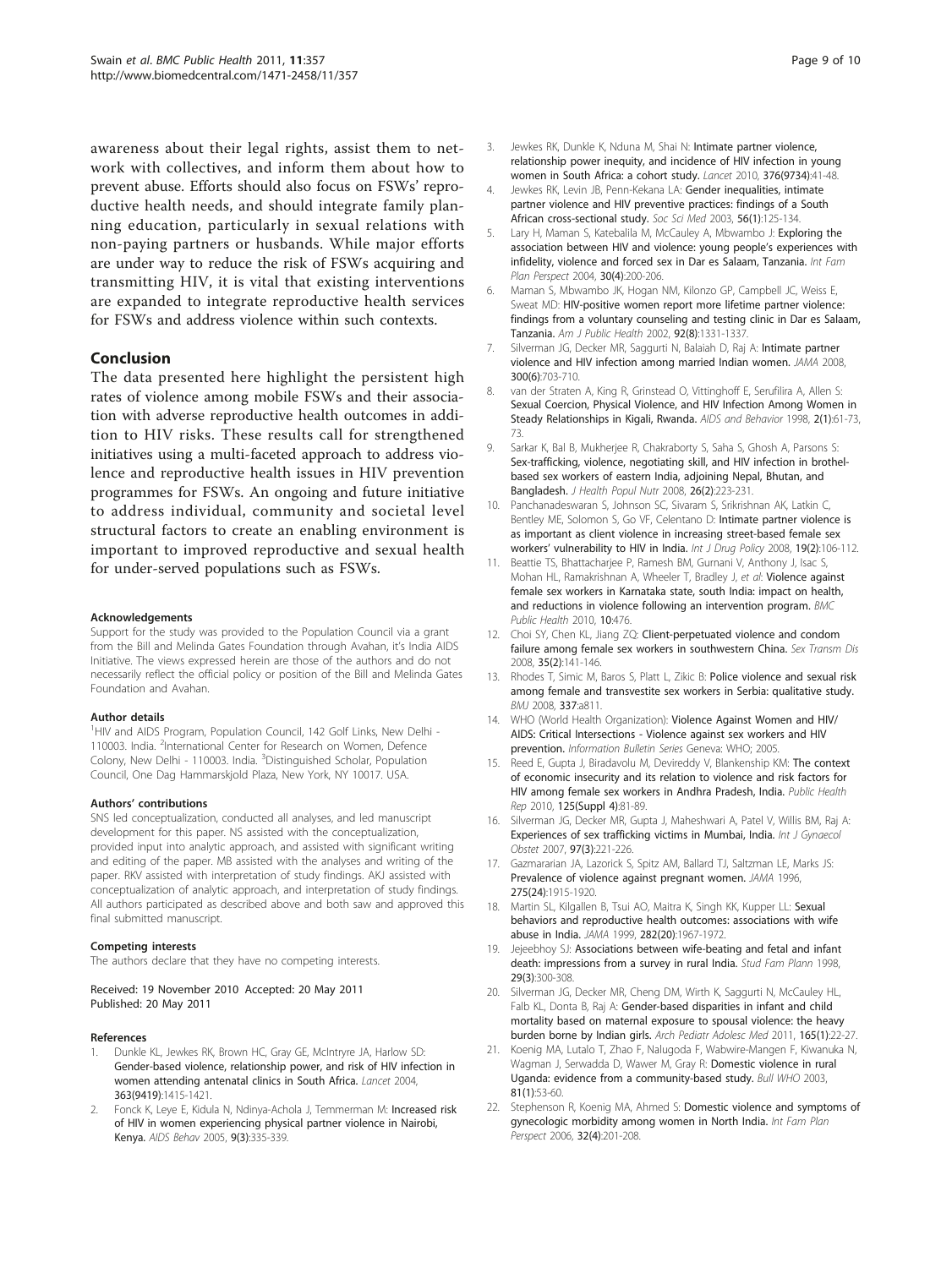<span id="page-8-0"></span>awareness about their legal rights, assist them to network with collectives, and inform them about how to prevent abuse. Efforts should also focus on FSWs' reproductive health needs, and should integrate family planning education, particularly in sexual relations with non-paying partners or husbands. While major efforts are under way to reduce the risk of FSWs acquiring and transmitting HIV, it is vital that existing interventions are expanded to integrate reproductive health services for FSWs and address violence within such contexts.

## Conclusion

The data presented here highlight the persistent high rates of violence among mobile FSWs and their association with adverse reproductive health outcomes in addition to HIV risks. These results call for strengthened initiatives using a multi-faceted approach to address violence and reproductive health issues in HIV prevention programmes for FSWs. An ongoing and future initiative to address individual, community and societal level structural factors to create an enabling environment is important to improved reproductive and sexual health for under-served populations such as FSWs.

#### Acknowledgements

Support for the study was provided to the Population Council via a grant from the Bill and Melinda Gates Foundation through Avahan, it's India AIDS Initiative. The views expressed herein are those of the authors and do not necessarily reflect the official policy or position of the Bill and Melinda Gates Foundation and Avahan.

#### Author details

<sup>1</sup>HIV and AIDS Program, Population Council, 142 Golf Links, New Delhi -110003. India. <sup>2</sup>International Center for Research on Women, Defence Colony, New Delhi - 110003. India. <sup>3</sup>Distinguished Scholar, Population Council, One Dag Hammarskjold Plaza, New York, NY 10017. USA.

#### Authors' contributions

SNS led conceptualization, conducted all analyses, and led manuscript development for this paper. NS assisted with the conceptualization, provided input into analytic approach, and assisted with significant writing and editing of the paper. MB assisted with the analyses and writing of the paper. RKV assisted with interpretation of study findings. AKJ assisted with conceptualization of analytic approach, and interpretation of study findings. All authors participated as described above and both saw and approved this final submitted manuscript.

#### Competing interests

The authors declare that they have no competing interests.

#### Received: 19 November 2010 Accepted: 20 May 2011 Published: 20 May 2011

#### References

- 1. Dunkle KL, Jewkes RK, Brown HC, Gray GE, McIntryre JA, Harlow SD: [Gender-based violence, relationship power, and risk of HIV infection in](http://www.ncbi.nlm.nih.gov/pubmed/15121402?dopt=Abstract) [women attending antenatal clinics in South Africa.](http://www.ncbi.nlm.nih.gov/pubmed/15121402?dopt=Abstract) Lancet 2004, 363(9419):1415-1421.
- Fonck K, Leye E, Kidula N, Ndinya-Achola J, Temmerman M: [Increased risk](http://www.ncbi.nlm.nih.gov/pubmed/16133903?dopt=Abstract) [of HIV in women experiencing physical partner violence in Nairobi,](http://www.ncbi.nlm.nih.gov/pubmed/16133903?dopt=Abstract) [Kenya.](http://www.ncbi.nlm.nih.gov/pubmed/16133903?dopt=Abstract) AIDS Behav 2005, 9(3):335-339.
- 3. Jewkes RK, Dunkle K, Nduna M, Shai N: [Intimate partner violence,](http://www.ncbi.nlm.nih.gov/pubmed/20557928?dopt=Abstract) [relationship power inequity, and incidence of HIV infection in young](http://www.ncbi.nlm.nih.gov/pubmed/20557928?dopt=Abstract) [women in South Africa: a cohort study.](http://www.ncbi.nlm.nih.gov/pubmed/20557928?dopt=Abstract) Lancet 2010, 376(9734):41-48.
- 4. Jewkes RK, Levin JB, Penn-Kekana LA: [Gender inequalities, intimate](http://www.ncbi.nlm.nih.gov/pubmed/12435556?dopt=Abstract) [partner violence and HIV preventive practices: findings of a South](http://www.ncbi.nlm.nih.gov/pubmed/12435556?dopt=Abstract) [African cross-sectional study.](http://www.ncbi.nlm.nih.gov/pubmed/12435556?dopt=Abstract) Soc Sci Med 2003, 56(1):125-134.
- Lary H, Maman S, Katebalila M, McCauley A, Mbwambo J: [Exploring the](http://www.ncbi.nlm.nih.gov/pubmed/15590386?dopt=Abstract) [association between HIV and violence: young people](http://www.ncbi.nlm.nih.gov/pubmed/15590386?dopt=Abstract)'s experiences with [infidelity, violence and forced sex in Dar es Salaam, Tanzania.](http://www.ncbi.nlm.nih.gov/pubmed/15590386?dopt=Abstract) Int Fam Plan Perspect 2004, 30(4):200-206.
- 6. Maman S, Mbwambo JK, Hogan NM, Kilonzo GP, Campbell JC, Weiss E, Sweat MD: [HIV-positive women report more lifetime partner violence:](http://www.ncbi.nlm.nih.gov/pubmed/12144993?dopt=Abstract) [findings from a voluntary counseling and testing clinic in Dar es Salaam,](http://www.ncbi.nlm.nih.gov/pubmed/12144993?dopt=Abstract) [Tanzania.](http://www.ncbi.nlm.nih.gov/pubmed/12144993?dopt=Abstract) Am J Public Health 2002, 92(8):1331-1337.
- 7. Silverman JG, Decker MR, Saggurti N, Balaiah D, Raj A: [Intimate partner](http://www.ncbi.nlm.nih.gov/pubmed/18698068?dopt=Abstract) [violence and HIV infection among married Indian women.](http://www.ncbi.nlm.nih.gov/pubmed/18698068?dopt=Abstract) JAMA 2008, 300(6):703-710.
- 8. van der Straten A, King R, Grinstead O, Vittinghoff E, Serufilira A, Allen S: Sexual Coercion, Physical Violence, and HIV Infection Among Women in Steady Relationships in Kigali, Rwanda. AIDS and Behavior 1998, 2(1):61-73, 73.
- 9. Sarkar K, Bal B, Mukherjee R, Chakraborty S, Saha S, Ghosh A, Parsons S: [Sex-trafficking, violence, negotiating skill, and HIV infection in brothel](http://www.ncbi.nlm.nih.gov/pubmed/18686555?dopt=Abstract)[based sex workers of eastern India, adjoining Nepal, Bhutan, and](http://www.ncbi.nlm.nih.gov/pubmed/18686555?dopt=Abstract) [Bangladesh.](http://www.ncbi.nlm.nih.gov/pubmed/18686555?dopt=Abstract) J Health Popul Nutr 2008, 26(2):223-231.
- 10. Panchanadeswaran S, Johnson SC, Sivaram S, Srikrishnan AK, Latkin C, Bentley ME, Solomon S, Go VF, Celentano D: [Intimate partner violence is](http://www.ncbi.nlm.nih.gov/pubmed/18187314?dopt=Abstract) [as important as client violence in increasing street-based female sex](http://www.ncbi.nlm.nih.gov/pubmed/18187314?dopt=Abstract) workers' [vulnerability to HIV in India.](http://www.ncbi.nlm.nih.gov/pubmed/18187314?dopt=Abstract) Int J Drug Policy 2008, 19(2):106-112.
- 11. Beattie TS, Bhattacharjee P, Ramesh BM, Gurnani V, Anthony J, Isac S, Mohan HL, Ramakrishnan A, Wheeler T, Bradley J, et al: [Violence against](http://www.ncbi.nlm.nih.gov/pubmed/20701791?dopt=Abstract) [female sex workers in Karnataka state, south India: impact on health,](http://www.ncbi.nlm.nih.gov/pubmed/20701791?dopt=Abstract) [and reductions in violence following an intervention program.](http://www.ncbi.nlm.nih.gov/pubmed/20701791?dopt=Abstract) BMC Public Health 2010, 10:476.
- 12. Choi SY, Chen KL, Jiang ZQ: [Client-perpetuated violence and condom](http://www.ncbi.nlm.nih.gov/pubmed/17921913?dopt=Abstract) [failure among female sex workers in southwestern China.](http://www.ncbi.nlm.nih.gov/pubmed/17921913?dopt=Abstract) Sex Transm Dis 2008, 35(2):141-146.
- 13. Rhodes T, Simic M, Baros S, Platt L, Zikic B: [Police violence and sexual risk](http://www.ncbi.nlm.nih.gov/pubmed/18667468?dopt=Abstract) [among female and transvestite sex workers in Serbia: qualitative study.](http://www.ncbi.nlm.nih.gov/pubmed/18667468?dopt=Abstract) BMJ 2008, 337:a811.
- 14. WHO (World Health Organization): Violence Against Women and HIV/ AIDS: Critical Intersections - Violence against sex workers and HIV prevention. Information Bulletin Series Geneva: WHO; 2005.
- 15. Reed E, Gupta J, Biradavolu M, Devireddy V, Blankenship KM: [The context](http://www.ncbi.nlm.nih.gov/pubmed/20629253?dopt=Abstract) [of economic insecurity and its relation to violence and risk factors for](http://www.ncbi.nlm.nih.gov/pubmed/20629253?dopt=Abstract) [HIV among female sex workers in Andhra Pradesh, India.](http://www.ncbi.nlm.nih.gov/pubmed/20629253?dopt=Abstract) Public Health Rep 2010, 125(Suppl 4):81-89.
- 16. Silverman JG, Decker MR, Gupta J, Maheshwari A, Patel V, Willis BM, Raj A: [Experiences of sex trafficking victims in Mumbai, India.](http://www.ncbi.nlm.nih.gov/pubmed/17320087?dopt=Abstract) Int J Gynaecol Obstet 2007, 97(3):221-226.
- 17. Gazmararian JA, Lazorick S, Spitz AM, Ballard TJ, Saltzman LE, Marks JS: [Prevalence of violence against pregnant women.](http://www.ncbi.nlm.nih.gov/pubmed/8648873?dopt=Abstract) JAMA 1996, 275(24):1915-1920.
- 18. Martin SL, Kilgallen B, Tsui AO, Maitra K, Singh KK, Kupper LL: [Sexual](http://www.ncbi.nlm.nih.gov/pubmed/10580466?dopt=Abstract) [behaviors and reproductive health outcomes: associations with wife](http://www.ncbi.nlm.nih.gov/pubmed/10580466?dopt=Abstract) [abuse in India.](http://www.ncbi.nlm.nih.gov/pubmed/10580466?dopt=Abstract) JAMA 1999, 282(20):1967-1972.
- 19. Jejeebhoy SJ: [Associations between wife-beating and fetal and infant](http://www.ncbi.nlm.nih.gov/pubmed/9789323?dopt=Abstract) [death: impressions from a survey in rural India.](http://www.ncbi.nlm.nih.gov/pubmed/9789323?dopt=Abstract) Stud Fam Plann 1998, 29(3):300-308.
- 20. Silverman JG, Decker MR, Cheng DM, Wirth K, Saggurti N, McCauley HL, Falb KL, Donta B, Raj A: [Gender-based disparities in infant and child](http://www.ncbi.nlm.nih.gov/pubmed/21199976?dopt=Abstract) [mortality based on maternal exposure to spousal violence: the heavy](http://www.ncbi.nlm.nih.gov/pubmed/21199976?dopt=Abstract) [burden borne by Indian girls.](http://www.ncbi.nlm.nih.gov/pubmed/21199976?dopt=Abstract) Arch Pediatr Adolesc Med 2011, 165(1):22-27.
- 21. Koenig MA, Lutalo T, Zhao F, Nalugoda F, Wabwire-Mangen F, Kiwanuka N, Wagman J, Serwadda D, Wawer M, Gray R: [Domestic violence in rural](http://www.ncbi.nlm.nih.gov/pubmed/12640477?dopt=Abstract) [Uganda: evidence from a community-based study.](http://www.ncbi.nlm.nih.gov/pubmed/12640477?dopt=Abstract) Bull WHO 2003, 81(1):53-60.
- 22. Stephenson R, Koenig MA, Ahmed S: [Domestic violence and symptoms of](http://www.ncbi.nlm.nih.gov/pubmed/17237017?dopt=Abstract) [gynecologic morbidity among women in North India.](http://www.ncbi.nlm.nih.gov/pubmed/17237017?dopt=Abstract) Int Fam Plan Perspect 2006, 32(4):201-208.